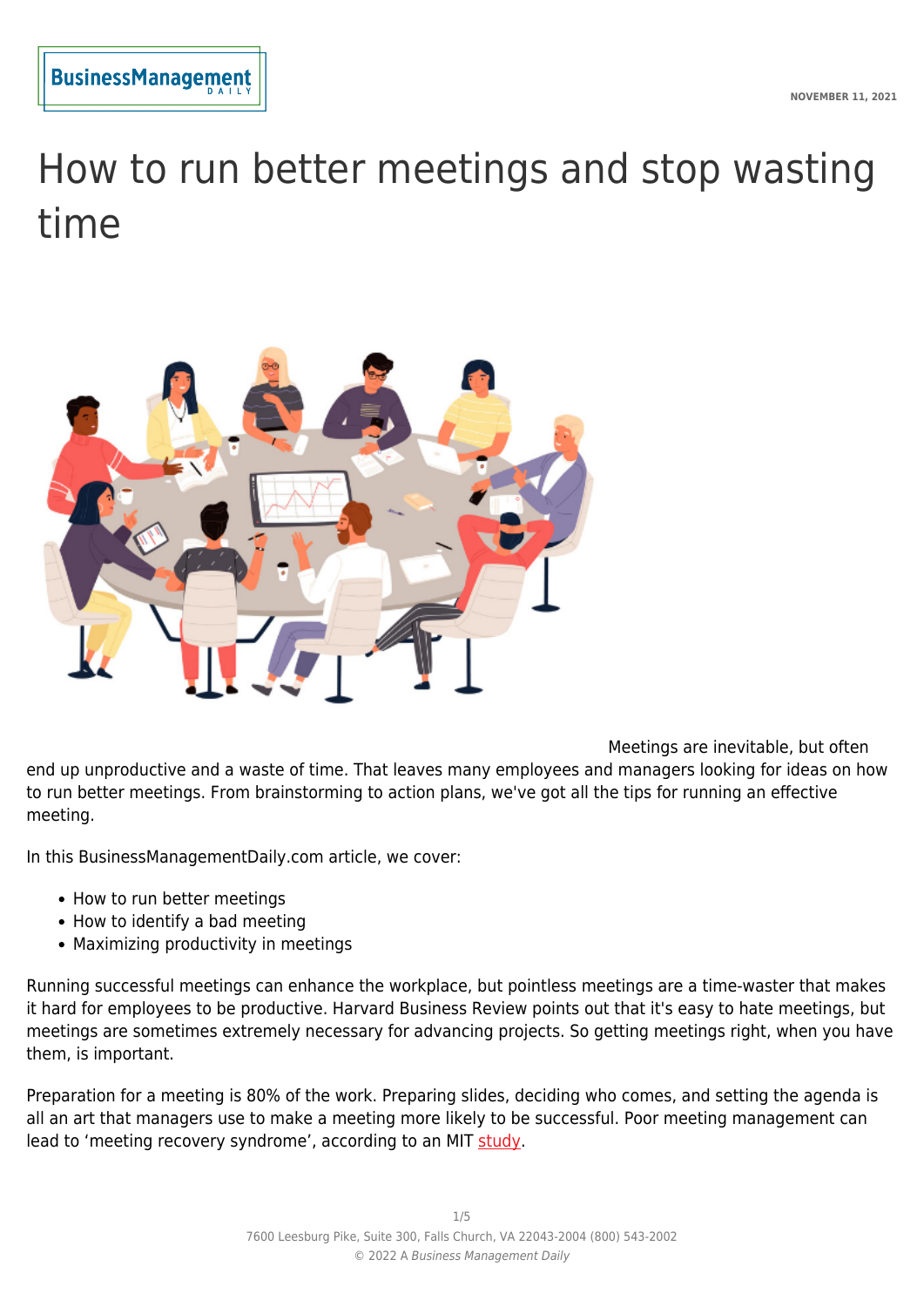

# How to run better meetings and stop wasting time



Meetings are inevitable, but often end up unproductive and a waste of time. That leaves many employees and managers looking for ideas on how to run better meetings. From brainstorming to action plans, we've got all the tips for running an effective meeting.

In this BusinessManagementDaily.com article, we cover:

- How to run better meetings
- How to identify a bad meeting
- Maximizing productivity in meetings

Running successful meetings can enhance the workplace, but pointless meetings are a time-waster that makes it hard for employees to be productive. Harvard Business Review points out that it's easy to hate meetings, but meetings are sometimes extremely necessary for advancing projects. So getting meetings right, when you have them, is important.

Preparation for a meeting is 80% of the work. Preparing slides, deciding who comes, and setting the agenda is all an art that managers use to make a meeting more likely to be successful. Poor meeting management can lead to 'meeting recovery syndrome', according to an MIT [study.](https://www.google.com/amp/s/sloanreview.mit.edu/article/the-surprising-science-behind-successful-remote-meetings/amp)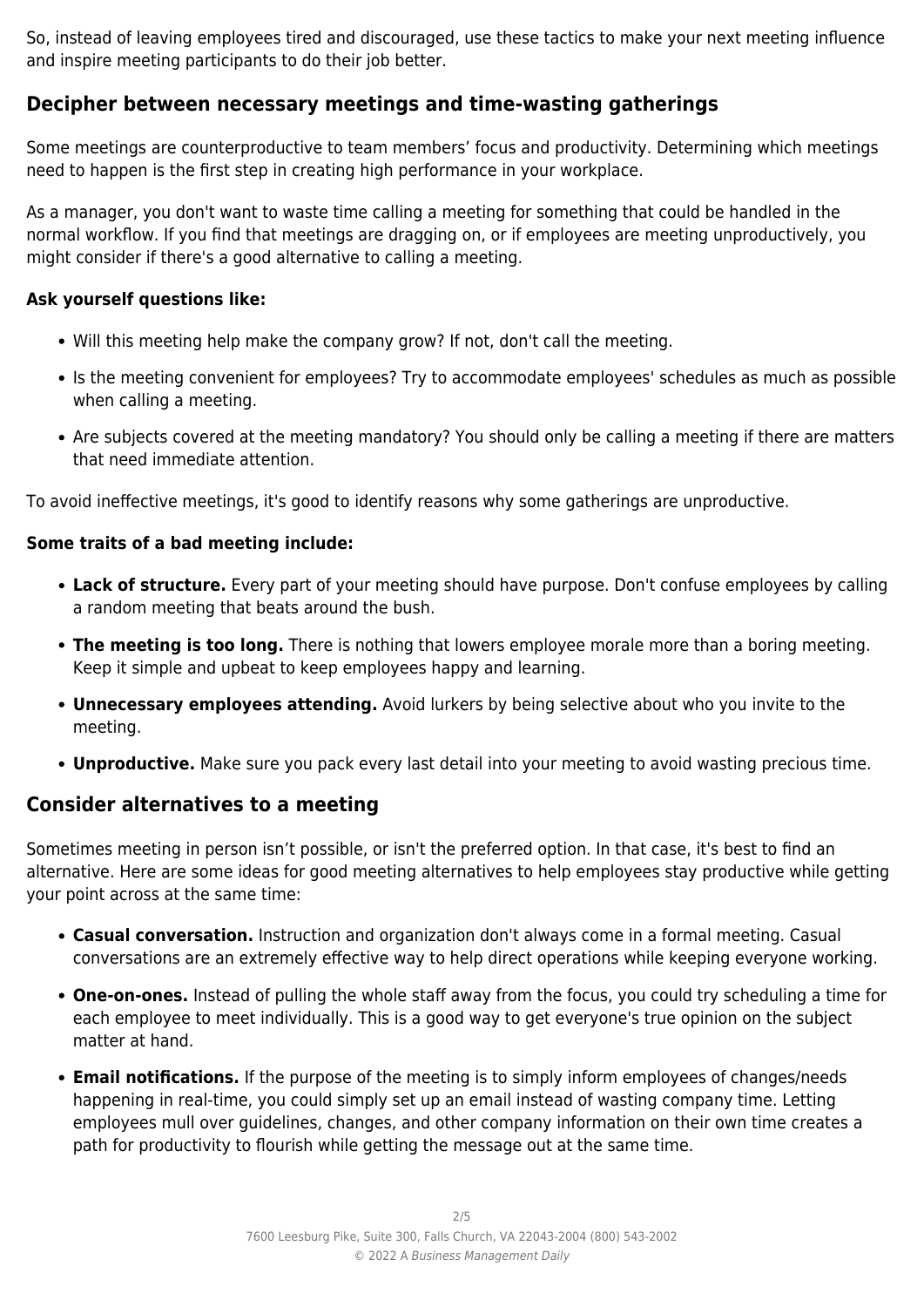So, instead of leaving employees tired and discouraged, use these tactics to make your next meeting influence and inspire meeting participants to do their job better.

# **Decipher between necessary meetings and time-wasting gatherings**

Some meetings are counterproductive to team members' focus and productivity. Determining which meetings need to happen is the first step in creating high performance in your workplace.

As a manager, you don't want to waste time calling a meeting for something that could be handled in the normal workflow. If you find that meetings are dragging on, or if employees are meeting unproductively, you might consider if there's a good alternative to calling a meeting.

### **Ask yourself questions like:**

- Will this meeting help make the company grow? If not, don't call the meeting.
- Is the meeting convenient for employees? Try to accommodate employees' schedules as much as possible when calling a meeting.
- Are subjects covered at the meeting mandatory? You should only be calling a meeting if there are matters that need immediate attention.

To avoid ineffective meetings, it's good to identify reasons why some gatherings are unproductive.

# **Some traits of a bad meeting include:**

- **Lack of structure.** Every part of your meeting should have purpose. Don't confuse employees by calling a random meeting that beats around the bush.
- **The meeting is too long.** There is nothing that lowers employee morale more than a boring meeting. Keep it simple and upbeat to keep employees happy and learning.
- **Unnecessary employees attending.** Avoid lurkers by being selective about who you invite to the meeting.
- **Unproductive.** Make sure you pack every last detail into your meeting to avoid wasting precious time.

# **Consider alternatives to a meeting**

Sometimes meeting in person isn't possible, or isn't the preferred option. In that case, it's best to find an alternative. Here are some ideas for good meeting alternatives to help employees stay productive while getting your point across at the same time:

- **Casual conversation.** Instruction and organization don't always come in a formal meeting. Casual conversations are an extremely effective way to help direct operations while keeping everyone working.
- **One-on-ones.** Instead of pulling the whole staff away from the focus, you could try scheduling a time for each employee to meet individually. This is a good way to get everyone's true opinion on the subject matter at hand.
- **Email notifications.** If the purpose of the meeting is to simply inform employees of changes/needs happening in real-time, you could simply set up an email instead of wasting company time. Letting employees mull over guidelines, changes, and other company information on their own time creates a path for productivity to flourish while getting the message out at the same time.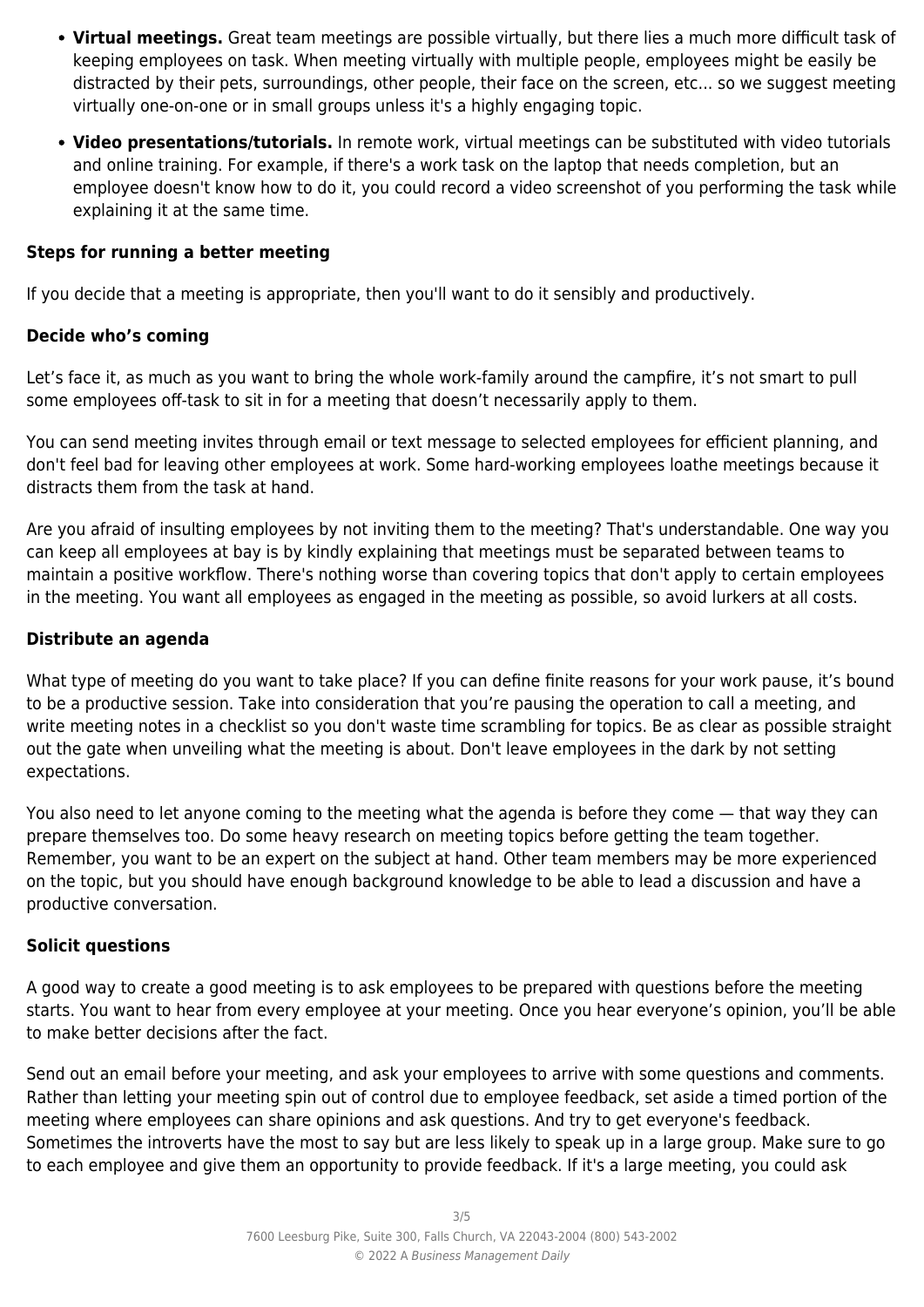- **Virtual meetings.** Great team meetings are possible virtually, but there lies a much more difficult task of keeping employees on task. When meeting virtually with multiple people, employees might be easily be distracted by their pets, surroundings, other people, their face on the screen, etc... so we suggest meeting virtually one-on-one or in small groups unless it's a highly engaging topic.
- **Video presentations/tutorials.** In remote work, virtual meetings can be substituted with video tutorials and online training. For example, if there's a work task on the laptop that needs completion, but an employee doesn't know how to do it, you could record a video screenshot of you performing the task while explaining it at the same time.

#### **Steps for running a better meeting**

If you decide that a meeting is appropriate, then you'll want to do it sensibly and productively.

# **Decide who's coming**

Let's face it, as much as you want to bring the whole work-family around the campfire, it's not smart to pull some employees off-task to sit in for a meeting that doesn't necessarily apply to them.

You can send meeting invites through email or text message to selected employees for efficient planning, and don't feel bad for leaving other employees at work. Some hard-working employees loathe meetings because it distracts them from the task at hand.

Are you afraid of insulting employees by not inviting them to the meeting? That's understandable. One way you can keep all employees at bay is by kindly explaining that meetings must be separated between teams to maintain a positive workflow. There's nothing worse than covering topics that don't apply to certain employees in the meeting. You want all employees as engaged in the meeting as possible, so avoid lurkers at all costs.

# **Distribute an agenda**

What type of meeting do you want to take place? If you can define finite reasons for your work pause, it's bound to be a productive session. Take into consideration that you're pausing the operation to call a meeting, and write meeting notes in a checklist so you don't waste time scrambling for topics. Be as clear as possible straight out the gate when unveiling what the meeting is about. Don't leave employees in the dark by not setting expectations.

You also need to let anyone coming to the meeting what the agenda is before they come — that way they can prepare themselves too. Do some heavy research on meeting topics before getting the team together. Remember, you want to be an expert on the subject at hand. Other team members may be more experienced on the topic, but you should have enough background knowledge to be able to lead a discussion and have a productive conversation.

#### **Solicit questions**

A good way to create a good meeting is to ask employees to be prepared with questions before the meeting starts. You want to hear from every employee at your meeting. Once you hear everyone's opinion, you'll be able to make better decisions after the fact.

Send out an email before your meeting, and ask your employees to arrive with some questions and comments. Rather than letting your meeting spin out of control due to employee feedback, set aside a timed portion of the meeting where employees can share opinions and ask questions. And try to get everyone's feedback. Sometimes the introverts have the most to say but are less likely to speak up in a large group. Make sure to go to each employee and give them an opportunity to provide feedback. If it's a large meeting, you could ask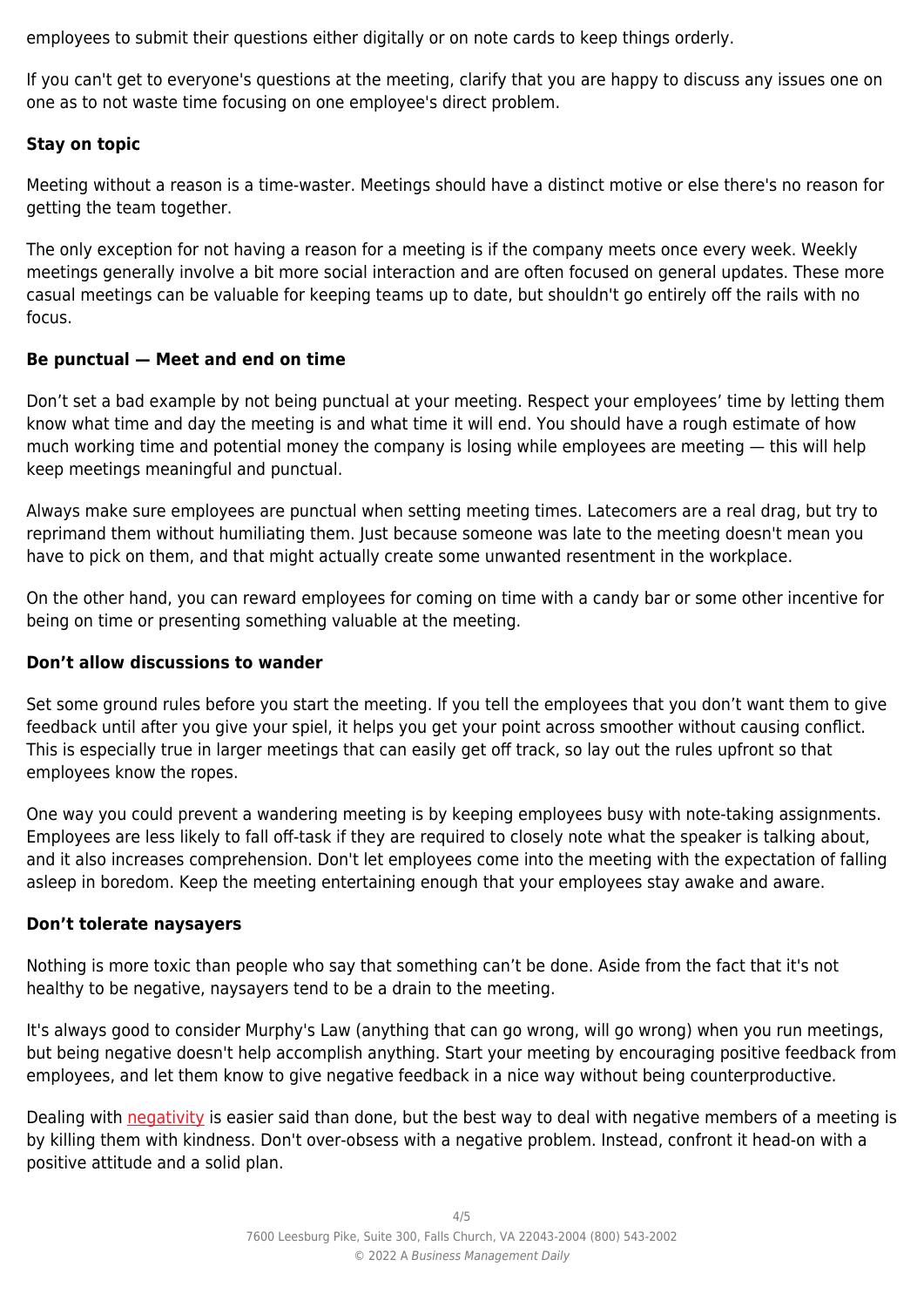employees to submit their questions either digitally or on note cards to keep things orderly.

If you can't get to everyone's questions at the meeting, clarify that you are happy to discuss any issues one on one as to not waste time focusing on one employee's direct problem.

#### **Stay on topic**

Meeting without a reason is a time-waster. Meetings should have a distinct motive or else there's no reason for getting the team together.

The only exception for not having a reason for a meeting is if the company meets once every week. Weekly meetings generally involve a bit more social interaction and are often focused on general updates. These more casual meetings can be valuable for keeping teams up to date, but shouldn't go entirely off the rails with no focus.

#### **Be punctual — Meet and end on time**

Don't set a bad example by not being punctual at your meeting. Respect your employees' time by letting them know what time and day the meeting is and what time it will end. You should have a rough estimate of how much working time and potential money the company is losing while employees are meeting — this will help keep meetings meaningful and punctual.

Always make sure employees are punctual when setting meeting times. Latecomers are a real drag, but try to reprimand them without humiliating them. Just because someone was late to the meeting doesn't mean you have to pick on them, and that might actually create some unwanted resentment in the workplace.

On the other hand, you can reward employees for coming on time with a candy bar or some other incentive for being on time or presenting something valuable at the meeting.

#### **Don't allow discussions to wander**

Set some ground rules before you start the meeting. If you tell the employees that you don't want them to give feedback until after you give your spiel, it helps you get your point across smoother without causing conflict. This is especially true in larger meetings that can easily get off track, so lay out the rules upfront so that employees know the ropes.

One way you could prevent a wandering meeting is by keeping employees busy with note-taking assignments. Employees are less likely to fall off-task if they are required to closely note what the speaker is talking about, and it also increases comprehension. Don't let employees come into the meeting with the expectation of falling asleep in boredom. Keep the meeting entertaining enough that your employees stay awake and aware.

#### **Don't tolerate naysayers**

Nothing is more toxic than people who say that something can't be done. Aside from the fact that it's not healthy to be negative, naysayers tend to be a drain to the meeting.

It's always good to consider Murphy's Law (anything that can go wrong, will go wrong) when you run meetings, but being negative doesn't help accomplish anything. Start your meeting by encouraging positive feedback from employees, and let them know to give negative feedback in a nice way without being counterproductive.

Dealing with [negativity](https://www.takingcharge.csh.umn.edu/deal-negativity) is easier said than done, but the best way to deal with negative members of a meeting is by killing them with kindness. Don't over-obsess with a negative problem. Instead, confront it head-on with a positive attitude and a solid plan.